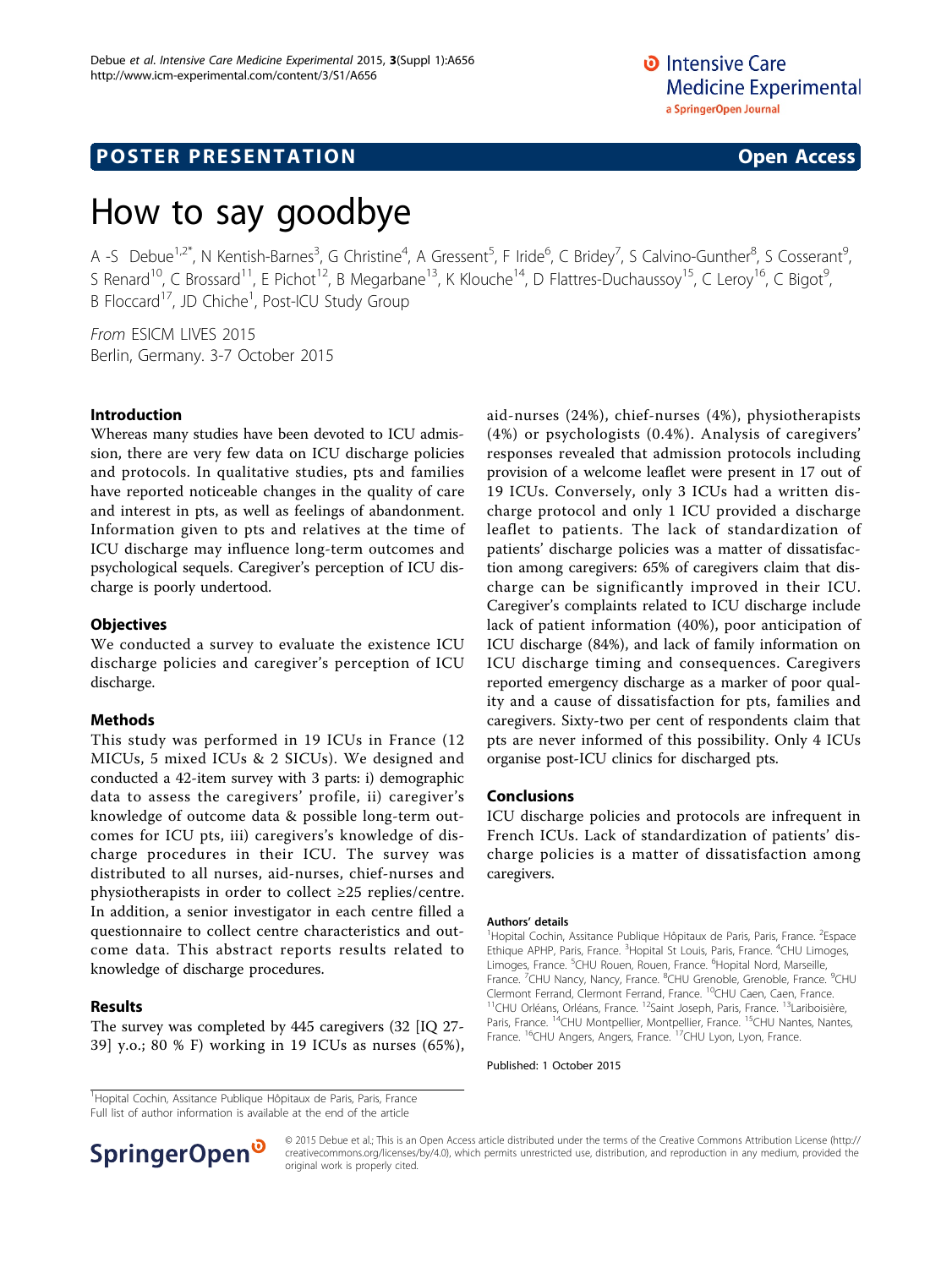**D** Intensive Care **Medicine Experimental** a SpringerOpen Journal

# **POSTER PRESENTATION CONSUMING THE SERVICE SERVICE SERVICES**

# How to say goodbye

A -S Debue<sup>1,2\*</sup>, N Kentish-Barnes<sup>3</sup>, G Christine<sup>4</sup>, A Gressent<sup>5</sup>, F Iride<sup>6</sup>, C Bridey<sup>7</sup>, S Calvino-Gunther<sup>8</sup>, S Cosserant<sup>9</sup> , S Renard<sup>10</sup>, C Brossard<sup>11</sup>, E Pichot<sup>12</sup>, B Megarbane<sup>13</sup>, K Klouche<sup>14</sup>, D Flattres-Duchaussoy<sup>15</sup>, C Leroy<sup>16</sup>, C Bigot<sup>9</sup>, , B Floccard<sup>17</sup>, JD Chiche<sup>1</sup>, Post-ICU Study Group

From ESICM LIVES 2015 Berlin, Germany. 3-7 October 2015

### Introduction

Whereas many studies have been devoted to ICU admission, there are very few data on ICU discharge policies and protocols. In qualitative studies, pts and families have reported noticeable changes in the quality of care and interest in pts, as well as feelings of abandonment. Information given to pts and relatives at the time of ICU discharge may influence long-term outcomes and psychological sequels. Caregiver's perception of ICU discharge is poorly undertood.

## **Objectives**

We conducted a survey to evaluate the existence ICU discharge policies and caregiver's perception of ICU discharge.

### Methods

This study was performed in 19 ICUs in France (12 MICUs, 5 mixed ICUs & 2 SICUs). We designed and conducted a 42-item survey with 3 parts: i) demographic data to assess the caregivers' profile, ii) caregiver's knowledge of outcome data & possible long-term outcomes for ICU pts, iii) caregivers's knowledge of discharge procedures in their ICU. The survey was distributed to all nurses, aid-nurses, chief-nurses and physiotherapists in order to collect ≥25 replies/centre. In addition, a senior investigator in each centre filled a questionnaire to collect centre characteristics and outcome data. This abstract reports results related to knowledge of discharge procedures.

### Results

The survey was completed by 445 caregivers (32 [IQ 27- 39] y.o.; 80 % F) working in 19 ICUs as nurses (65%), aid-nurses (24%), chief-nurses (4%), physiotherapists (4%) or psychologists (0.4%). Analysis of caregivers' responses revealed that admission protocols including provision of a welcome leaflet were present in 17 out of 19 ICUs. Conversely, only 3 ICUs had a written discharge protocol and only 1 ICU provided a discharge leaflet to patients. The lack of standardization of patients' discharge policies was a matter of dissatisfaction among caregivers: 65% of caregivers claim that discharge can be significantly improved in their ICU. Caregiver's complaints related to ICU discharge include lack of patient information (40%), poor anticipation of ICU discharge (84%), and lack of family information on ICU discharge timing and consequences. Caregivers reported emergency discharge as a marker of poor quality and a cause of dissatisfaction for pts, families and caregivers. Sixty-two per cent of respondents claim that pts are never informed of this possibility. Only 4 ICUs organise post-ICU clinics for discharged pts.

## Conclusions

ICU discharge policies and protocols are infrequent in French ICUs. Lack of standardization of patients' discharge policies is a matter of dissatisfaction among caregivers.

#### Authors' details <sup>1</sup>

Hopital Cochin, Assitance Publique Hôpitaux de Paris, Paris, France. <sup>2</sup>Espace Ethique APHP, Paris, France. <sup>3</sup>Hopital St Louis, Paris, France. <sup>4</sup>CHU Limoges, Limoges, France. <sup>5</sup>CHU Rouen, Rouen, France. <sup>6</sup>Hopital Nord, Marseille,<br>France. <sup>7</sup>CHU Nancy, Nancy, France. <sup>8</sup>CHU Grenoble, Grenoble, France. <sup>9</sup>CHU Clermont Ferrand, Clermont Ferrand, France. <sup>10</sup>CHU Caen, Caen, France.<br><sup>11</sup>CHU Orléans, Orléans, France. <sup>12</sup>Saint Joseph, Paris, France. <sup>13</sup>Lariboisière, Paris, France. <sup>14</sup>CHU Montpellier, Montpellier, France. <sup>15</sup>CHU Nantes, Nantes, France. <sup>16</sup>CHU Angers, Angers, France. <sup>17</sup>CHU Lyon, Lyon, France.

Published: 1 October 2015

<sup>&</sup>lt;sup>1</sup>Hopital Cochin, Assitance Publique Hôpitaux de Paris, Paris, France Full list of author information is available at the end of the article



© 2015 Debue et al.; This is an Open Access article distributed under the terms of the Creative Commons Attribution License [\(http://](http://creativecommons.org/licenses/by/4.0) [creativecommons.org/licenses/by/4.0](http://creativecommons.org/licenses/by/4.0)), which permits unrestricted use, distribution, and reproduction in any medium, provided the original work is properly cited.